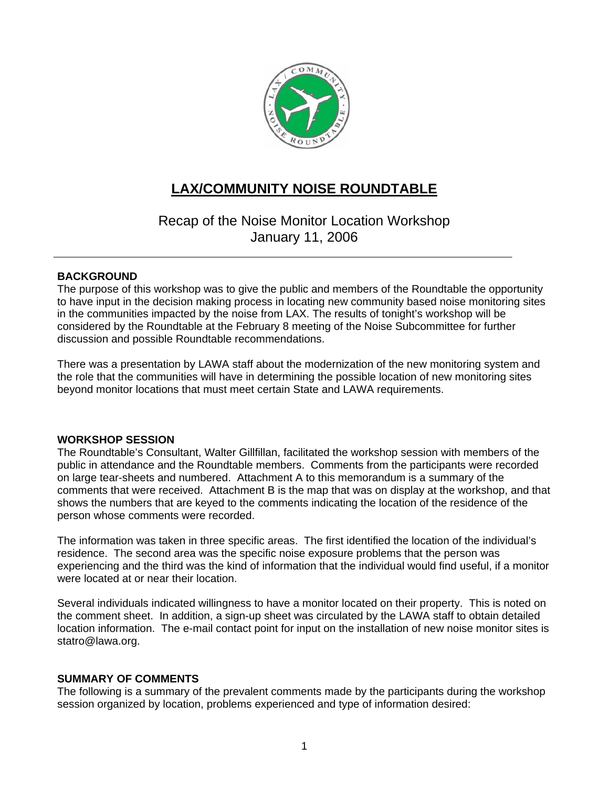

### **LAX/COMMUNITY NOISE ROUNDTABLE**

Recap of the Noise Monitor Location Workshop January 11, 2006

#### **BACKGROUND**

The purpose of this workshop was to give the public and members of the Roundtable the opportunity to have input in the decision making process in locating new community based noise monitoring sites in the communities impacted by the noise from LAX. The results of tonight's workshop will be considered by the Roundtable at the February 8 meeting of the Noise Subcommittee for further discussion and possible Roundtable recommendations.

There was a presentation by LAWA staff about the modernization of the new monitoring system and the role that the communities will have in determining the possible location of new monitoring sites beyond monitor locations that must meet certain State and LAWA requirements.

#### **WORKSHOP SESSION**

The Roundtable's Consultant, Walter Gillfillan, facilitated the workshop session with members of the public in attendance and the Roundtable members. Comments from the participants were recorded on large tear-sheets and numbered. Attachment A to this memorandum is a summary of the comments that were received. Attachment B is the map that was on display at the workshop, and that shows the numbers that are keyed to the comments indicating the location of the residence of the person whose comments were recorded.

The information was taken in three specific areas. The first identified the location of the individual's residence. The second area was the specific noise exposure problems that the person was experiencing and the third was the kind of information that the individual would find useful, if a monitor were located at or near their location.

Several individuals indicated willingness to have a monitor located on their property. This is noted on the comment sheet. In addition, a sign-up sheet was circulated by the LAWA staff to obtain detailed location information. The e-mail contact point for input on the installation of new noise monitor sites is statro@lawa.org.

#### **SUMMARY OF COMMENTS**

The following is a summary of the prevalent comments made by the participants during the workshop session organized by location, problems experienced and type of information desired: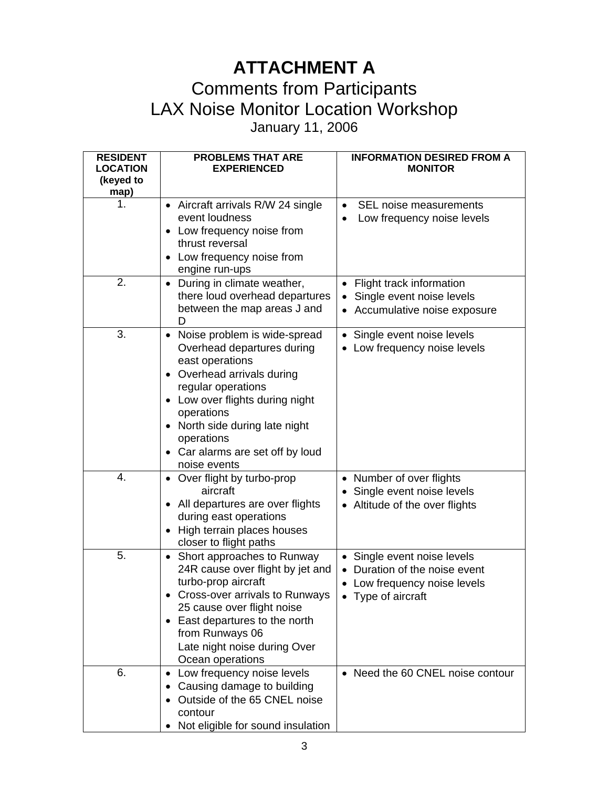## **ATTACHMENT A**

## Comments from Participants LAX Noise Monitor Location Workshop

January 11, 2006

| <b>RESIDENT</b> | <b>PROBLEMS THAT ARE</b>                                  | <b>INFORMATION DESIRED FROM A</b>                                 |
|-----------------|-----------------------------------------------------------|-------------------------------------------------------------------|
| <b>LOCATION</b> | <b>EXPERIENCED</b>                                        | <b>MONITOR</b>                                                    |
| (keyed to       |                                                           |                                                                   |
| map)            |                                                           |                                                                   |
| 1.              | • Aircraft arrivals R/W 24 single<br>event loudness       | SEL noise measurements<br>$\bullet$<br>Low frequency noise levels |
|                 | Low frequency noise from                                  |                                                                   |
|                 | thrust reversal                                           |                                                                   |
|                 | Low frequency noise from                                  |                                                                   |
|                 | engine run-ups                                            |                                                                   |
| 2.              | During in climate weather,<br>$\bullet$                   | • Flight track information                                        |
|                 | there loud overhead departures                            | Single event noise levels                                         |
|                 | between the map areas J and                               | • Accumulative noise exposure                                     |
|                 | D                                                         |                                                                   |
| 3.              | Noise problem is wide-spread<br>$\bullet$                 | • Single event noise levels                                       |
|                 | Overhead departures during<br>east operations             | • Low frequency noise levels                                      |
|                 | Overhead arrivals during<br>$\bullet$                     |                                                                   |
|                 | regular operations                                        |                                                                   |
|                 | Low over flights during night<br>$\bullet$                |                                                                   |
|                 | operations                                                |                                                                   |
|                 | North side during late night                              |                                                                   |
|                 | operations                                                |                                                                   |
|                 | • Car alarms are set off by loud                          |                                                                   |
|                 | noise events                                              |                                                                   |
| 4.              | • Over flight by turbo-prop                               | • Number of over flights                                          |
|                 | aircraft                                                  | • Single event noise levels                                       |
|                 | All departures are over flights<br>during east operations | • Altitude of the over flights                                    |
|                 | High terrain places houses                                |                                                                   |
|                 | closer to flight paths                                    |                                                                   |
| 5.              | • Short approaches to Runway                              | • Single event noise levels                                       |
|                 | 24R cause over flight by jet and                          | • Duration of the noise event                                     |
|                 | turbo-prop aircraft                                       | • Low frequency noise levels                                      |
|                 | Cross-over arrivals to Runways                            | • Type of aircraft                                                |
|                 | 25 cause over flight noise                                |                                                                   |
|                 | East departures to the north<br>$\bullet$                 |                                                                   |
|                 | from Runways 06                                           |                                                                   |
|                 | Late night noise during Over<br>Ocean operations          |                                                                   |
| 6.              | Low frequency noise levels<br>$\bullet$                   | • Need the 60 CNEL noise contour                                  |
|                 | Causing damage to building<br>$\bullet$                   |                                                                   |
|                 | Outside of the 65 CNEL noise                              |                                                                   |
|                 | contour                                                   |                                                                   |
|                 | Not eligible for sound insulation                         |                                                                   |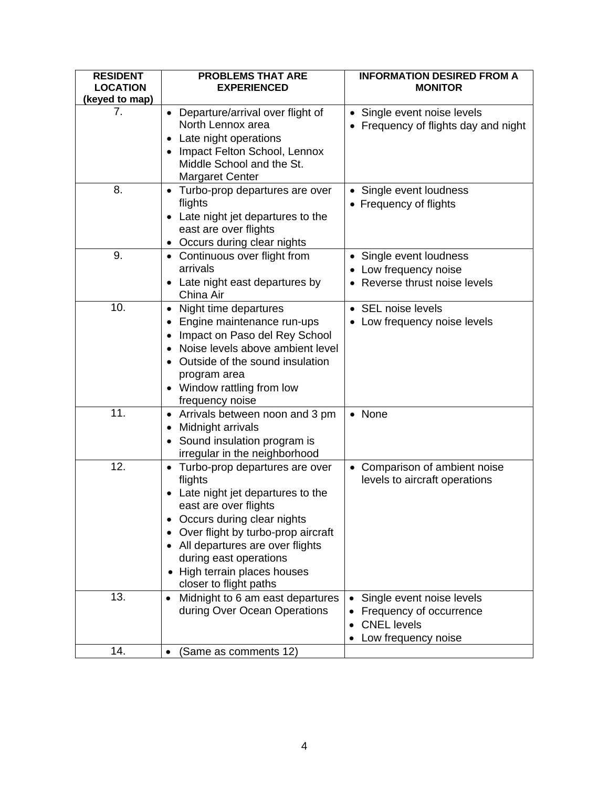| <b>RESIDENT</b><br><b>LOCATION</b> | <b>PROBLEMS THAT ARE</b><br><b>EXPERIENCED</b>                                                                                                                                                                                                                                                                    | <b>INFORMATION DESIRED FROM A</b><br><b>MONITOR</b>                                               |
|------------------------------------|-------------------------------------------------------------------------------------------------------------------------------------------------------------------------------------------------------------------------------------------------------------------------------------------------------------------|---------------------------------------------------------------------------------------------------|
| (keyed to map)                     |                                                                                                                                                                                                                                                                                                                   |                                                                                                   |
| 7.                                 | • Departure/arrival over flight of<br>North Lennox area<br>Late night operations<br>Impact Felton School, Lennox                                                                                                                                                                                                  | • Single event noise levels<br>• Frequency of flights day and night                               |
|                                    | Middle School and the St.<br><b>Margaret Center</b>                                                                                                                                                                                                                                                               |                                                                                                   |
| 8.                                 | • Turbo-prop departures are over<br>flights<br>Late night jet departures to the<br>east are over flights<br>Occurs during clear nights                                                                                                                                                                            | • Single event loudness<br>• Frequency of flights                                                 |
| 9.                                 | • Continuous over flight from<br>arrivals<br>• Late night east departures by<br>China Air                                                                                                                                                                                                                         | • Single event loudness<br>• Low frequency noise<br>Reverse thrust noise levels                   |
| 10.                                | Night time departures<br>$\bullet$<br>Engine maintenance run-ups<br>$\bullet$<br>Impact on Paso del Rey School<br>Noise levels above ambient level<br>Outside of the sound insulation<br>program area<br>Window rattling from low<br>frequency noise                                                              | • SEL noise levels<br>• Low frequency noise levels                                                |
| 11.                                | Arrivals between noon and 3 pm<br>$\bullet$<br>Midnight arrivals<br>٠<br>Sound insulation program is<br>$\bullet$<br>irregular in the neighborhood                                                                                                                                                                | • None                                                                                            |
| 12.                                | Turbo-prop departures are over<br>$\bullet$<br>flights<br>Late night jet departures to the<br>east are over flights<br>Occurs during clear nights<br>٠<br>Over flight by turbo-prop aircraft<br>All departures are over flights<br>during east operations<br>High terrain places houses<br>closer to flight paths | Comparison of ambient noise<br>levels to aircraft operations                                      |
| 13.                                | Midnight to 6 am east departures<br>$\bullet$<br>during Over Ocean Operations                                                                                                                                                                                                                                     | Single event noise levels<br>Frequency of occurrence<br><b>CNEL levels</b><br>Low frequency noise |
| 14.                                | (Same as comments 12)                                                                                                                                                                                                                                                                                             |                                                                                                   |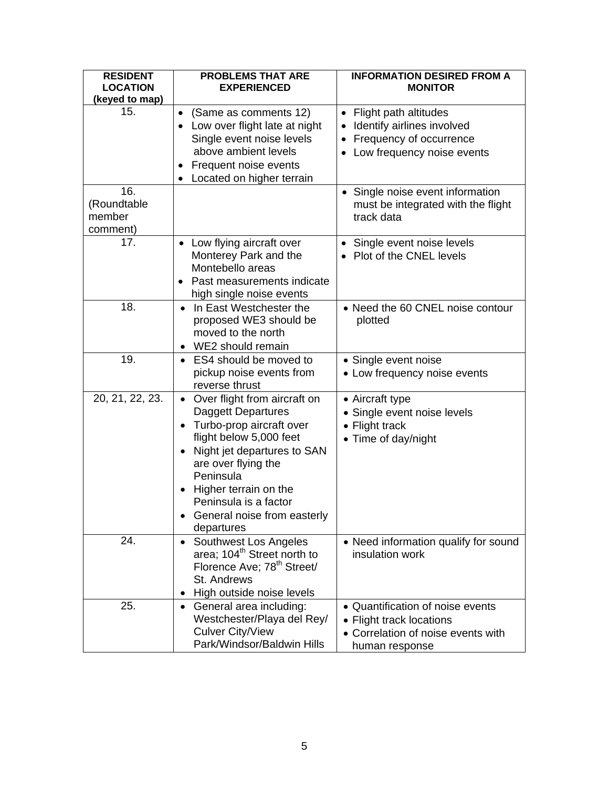| <b>RESIDENT</b><br><b>LOCATION</b> | <b>PROBLEMS THAT ARE</b><br><b>EXPERIENCED</b> | <b>INFORMATION DESIRED FROM A</b><br><b>MONITOR</b> |
|------------------------------------|------------------------------------------------|-----------------------------------------------------|
| (keyed to map)                     |                                                |                                                     |
| 15.                                | (Same as comments 12)<br>$\bullet$             | • Flight path altitudes                             |
|                                    | Low over flight late at night                  | Identify airlines involved                          |
|                                    | Single event noise levels                      | Frequency of occurrence                             |
|                                    | above ambient levels                           | Low frequency noise events                          |
|                                    | Frequent noise events<br>$\bullet$             |                                                     |
|                                    | Located on higher terrain<br>$\bullet$         |                                                     |
| 16.                                |                                                | • Single noise event information                    |
| (Roundtable                        |                                                | must be integrated with the flight                  |
| member                             |                                                | track data                                          |
| comment)                           |                                                |                                                     |
| 17.                                | Low flying aircraft over                       | • Single event noise levels                         |
|                                    | Monterey Park and the                          | • Plot of the CNEL levels                           |
|                                    | Montebello areas                               |                                                     |
|                                    | Past measurements indicate                     |                                                     |
|                                    | high single noise events                       |                                                     |
| 18.                                | In East Westchester the<br>$\bullet$           | • Need the 60 CNEL noise contour                    |
|                                    | proposed WE3 should be                         | plotted                                             |
|                                    | moved to the north                             |                                                     |
|                                    | WE2 should remain                              |                                                     |
| 19.                                | ES4 should be moved to                         | • Single event noise                                |
|                                    | pickup noise events from                       | • Low frequency noise events                        |
|                                    | reverse thrust                                 |                                                     |
| 20, 21, 22, 23.                    | Over flight from aircraft on<br>$\bullet$      | • Aircraft type                                     |
|                                    | <b>Daggett Departures</b>                      | • Single event noise levels                         |
|                                    | • Turbo-prop aircraft over                     | • Flight track                                      |
|                                    | flight below 5,000 feet                        | • Time of day/night                                 |
|                                    | Night jet departures to SAN                    |                                                     |
|                                    | are over flying the<br>Peninsula               |                                                     |
|                                    |                                                |                                                     |
|                                    | Higher terrain on the<br>Peninsula is a factor |                                                     |
|                                    | General noise from easterly                    |                                                     |
|                                    | departures                                     |                                                     |
| 24.                                | Southwest Los Angeles<br>$\bullet$             | • Need information qualify for sound                |
|                                    | area; 104 <sup>th</sup> Street north to        | insulation work                                     |
|                                    | Florence Ave; 78 <sup>th</sup> Street/         |                                                     |
|                                    | St. Andrews                                    |                                                     |
|                                    | High outside noise levels                      |                                                     |
| 25.                                | General area including:<br>$\bullet$           | • Quantification of noise events                    |
|                                    | Westchester/Playa del Rey/                     | • Flight track locations                            |
|                                    | <b>Culver City/View</b>                        | • Correlation of noise events with                  |
|                                    | Park/Windsor/Baldwin Hills                     |                                                     |
|                                    |                                                | human response                                      |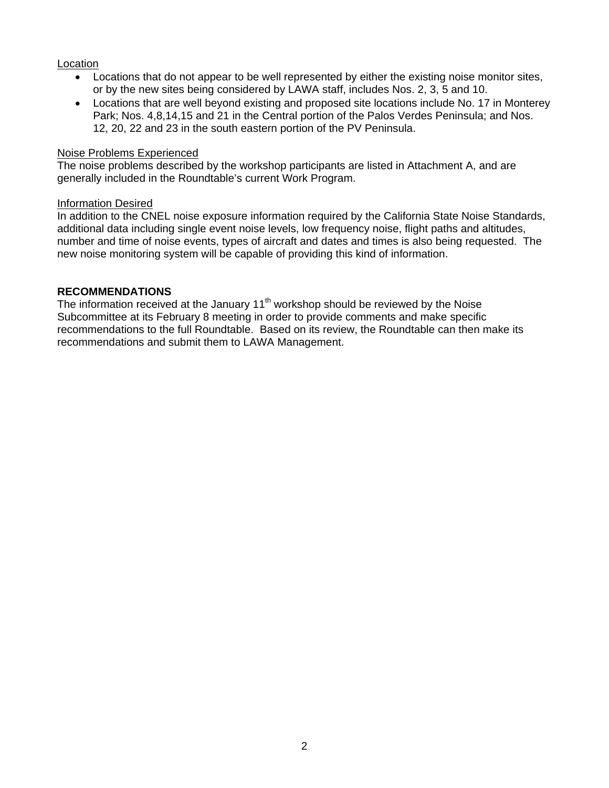#### Location

- Locations that do not appear to be well represented by either the existing noise monitor sites, or by the new sites being considered by LAWA staff, includes Nos. 2, 3, 5 and 10.
- Locations that are well beyond existing and proposed site locations include No. 17 in Monterey Park; Nos. 4,8,14,15 and 21 in the Central portion of the Palos Verdes Peninsula; and Nos. 12, 20, 22 and 23 in the south eastern portion of the PV Peninsula.

#### Noise Problems Experienced

The noise problems described by the workshop participants are listed in Attachment A, and are generally included in the Roundtable's current Work Program.

#### Information Desired

In addition to the CNEL noise exposure information required by the California State Noise Standards, additional data including single event noise levels, low frequency noise, flight paths and altitudes, number and time of noise events, types of aircraft and dates and times is also being requested. The new noise monitoring system will be capable of providing this kind of information.

#### **RECOMMENDATIONS**

The information received at the January  $11<sup>th</sup>$  workshop should be reviewed by the Noise Subcommittee at its February 8 meeting in order to provide comments and make specific recommendations to the full Roundtable. Based on its review, the Roundtable can then make its recommendations and submit them to LAWA Management.